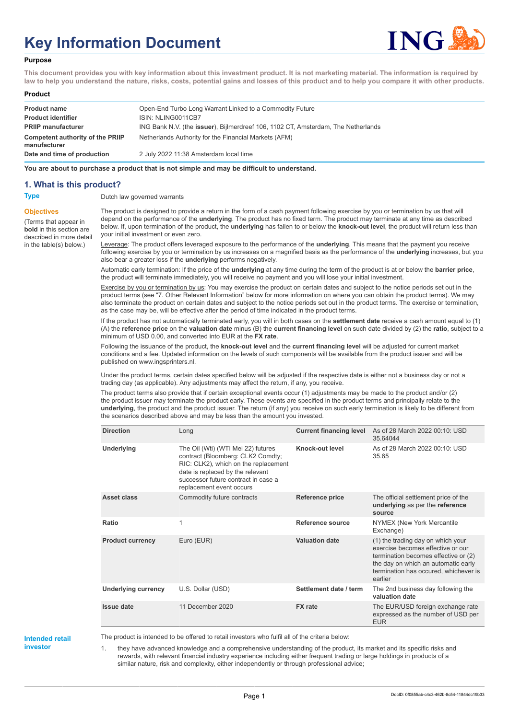# **Key Information Document**



#### **Purpose**

**This document provides you with key information about this investment product. It is not marketing material. The information is required by law to help you understand the nature, risks, costs, potential gains and losses of this product and to help you compare it with other products.**

#### **Product**

| <b>Product name</b>                              | Open-End Turbo Long Warrant Linked to a Commodity Future                          |
|--------------------------------------------------|-----------------------------------------------------------------------------------|
| <b>Product identifier</b>                        | ISIN: NLING0011CB7                                                                |
| <b>PRIIP manufacturer</b>                        | ING Bank N.V. (the issuer), Bijlmerdreef 106, 1102 CT, Amsterdam, The Netherlands |
| Competent authority of the PRIIP<br>manufacturer | Netherlands Authority for the Financial Markets (AFM)                             |
| Date and time of production                      | 2 July 2022 11:38 Amsterdam local time                                            |

**You are about to purchase a product that is not simple and may be difficult to understand.**

### **1. What is this product?**

**Objectives**

(Terms that appear in **bold** in this section are

in the table(s) below.)

**Type** Dutch law governed warrants

described in more detail The product is designed to provide a return in the form of a cash payment following exercise by you or termination by us that will depend on the performance of the **underlying**. The product has no fixed term. The product may terminate at any time as described below. If, upon termination of the product, the **underlying** has fallen to or below the **knock-out level**, the product will return less than your initial investment or even zero.

> Leverage: The product offers leveraged exposure to the performance of the **underlying**. This means that the payment you receive following exercise by you or termination by us increases on a magnified basis as the performance of the **underlying** increases, but you also bear a greater loss if the **underlying** performs negatively.

Automatic early termination: If the price of the **underlying** at any time during the term of the product is at or below the **barrier price**, the product will terminate immediately, you will receive no payment and you will lose your initial investment.

Exercise by you or termination by us: You may exercise the product on certain dates and subject to the notice periods set out in the product terms (see "7. Other Relevant Information" below for more information on where you can obtain the product terms). We may also terminate the product on certain dates and subject to the notice periods set out in the product terms. The exercise or termination, as the case may be, will be effective after the period of time indicated in the product terms.

If the product has not automatically terminated early, you will in both cases on the **settlement date** receive a cash amount equal to (1) (A) the **reference price** on the **valuation date** minus (B) the **current financing level** on such date divided by (2) the **ratio**, subject to a minimum of USD 0.00, and converted into EUR at the **FX rate**.

Following the issuance of the product, the **knock-out level** and the **current financing level** will be adjusted for current market conditions and a fee. Updated information on the levels of such components will be available from the product issuer and will be published on www.ingsprinters.nl.

Under the product terms, certain dates specified below will be adjusted if the respective date is either not a business day or not a trading day (as applicable). Any adjustments may affect the return, if any, you receive.

The product terms also provide that if certain exceptional events occur (1) adjustments may be made to the product and/or (2) the product issuer may terminate the product early. These events are specified in the product terms and principally relate to the **underlying**, the product and the product issuer. The return (if any) you receive on such early termination is likely to be different from the scenarios described above and may be less than the amount you invested.

| <b>Direction</b>           | Long                                                                                                                                                                                                                   | <b>Current financing level</b> | As of 28 March 2022 00:10: USD<br>35.64044                                                                                                                                                                |
|----------------------------|------------------------------------------------------------------------------------------------------------------------------------------------------------------------------------------------------------------------|--------------------------------|-----------------------------------------------------------------------------------------------------------------------------------------------------------------------------------------------------------|
| <b>Underlying</b>          | The Oil (Wti) (WTI Mei 22) futures<br>contract (Bloomberg: CLK2 Comdty;<br>RIC: CLK2), which on the replacement<br>date is replaced by the relevant<br>successor future contract in case a<br>replacement event occurs | Knock-out level                | As of 28 March 2022 00:10: USD<br>35.65                                                                                                                                                                   |
| Asset class                | Commodity future contracts                                                                                                                                                                                             | <b>Reference price</b>         | The official settlement price of the<br>underlying as per the reference<br>source                                                                                                                         |
| Ratio                      | 1                                                                                                                                                                                                                      | Reference source               | NYMEX (New York Mercantile<br>Exchange)                                                                                                                                                                   |
| <b>Product currency</b>    | Euro (EUR)                                                                                                                                                                                                             | <b>Valuation date</b>          | (1) the trading day on which your<br>exercise becomes effective or our<br>termination becomes effective or (2)<br>the day on which an automatic early<br>termination has occured, whichever is<br>earlier |
| <b>Underlying currency</b> | U.S. Dollar (USD)                                                                                                                                                                                                      | Settlement date / term         | The 2nd business day following the<br>valuation date                                                                                                                                                      |
| Issue date                 | 11 December 2020                                                                                                                                                                                                       | <b>FX</b> rate                 | The EUR/USD foreign exchange rate<br>expressed as the number of USD per<br><b>EUR</b>                                                                                                                     |

**Intended retail investor**

The product is intended to be offered to retail investors who fulfil all of the criteria below:

1. they have advanced knowledge and a comprehensive understanding of the product, its market and its specific risks and rewards, with relevant financial industry experience including either frequent trading or large holdings in products of a similar nature, risk and complexity, either independently or through professional advice;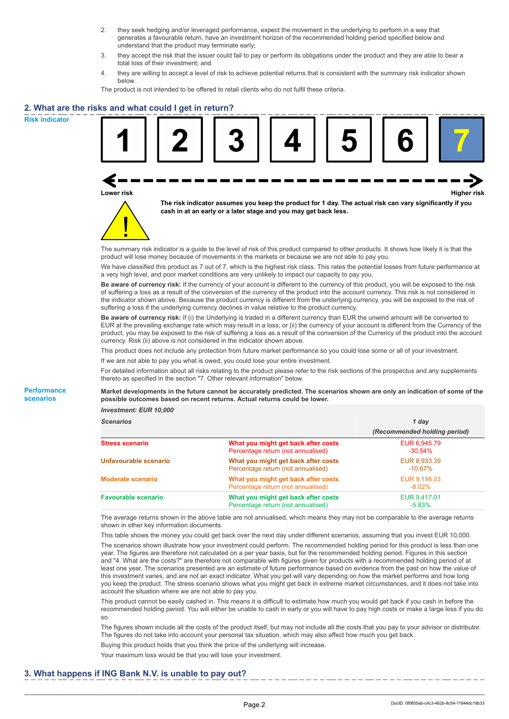- 2. they seek hedging and/or leveraged performance, expect the movement in the underlying to perform in a way that generates a favourable return, have an investment horizon of the recommended holding period specified below and understand that the product may terminate early;
- 3. they accept the risk that the issuer could fail to pay or perform its obligations under the product and they are able to bear a total loss of their investment; and
- 4. they are willing to accept a level of risk to achieve potential returns that is consistent with the summary risk indicator shown below.

The product is not intended to be offered to retail clients who do not fulfil these criteria.

## **2. What are the risks and what could I get in return?**

**Risk indicator**

**Performance scenarios**





**The risk indicator assumes you keep the product for 1 day. The actual risk can vary significantly if you cash in at an early or a later stage and you may get back less.**

The summary risk indicator is a guide to the level of risk of this product compared to other products. It shows how likely it is that the product will lose money because of movements in the markets or because we are not able to pay you.

We have classified this product as 7 out of 7, which is the highest risk class. This rates the potential losses from future performance at a very high level, and poor market conditions are very unlikely to impact our capacity to pay you.

**Be aware of currency risk:** If the currency of your account is different to the currency of this product, you will be exposed to the risk of suffering a loss as a result of the conversion of the currency of the product into the account currency. This risk is not considered in the indicator shown above. Because the product currency is different from the underlying currency, you will be exposed to the risk of suffering a loss if the underlying currency declines in value relative to the product currency.

**Be aware of currency risk:** If (i) the Underlying is traded in a different currency than EUR the unwind amount will be converted to EUR at the prevailing exchange rate which may result in a loss; or (ii) the currency of your account is different from the Currency of the product, you may be exposed to the risk of suffering a loss as a result of the conversion of the Currency of the product into the account currency. Risk (ii) above is not considered in the indicator shown above.

This product does not include any protection from future market performance so you could lose some or all of your investment.

If we are not able to pay you what is owed, you could lose your entire investment.

For detailed information about all risks relating to the product please refer to the risk sections of the prospectus and any supplements thereto as specified in the section "7. Other relevant information" below.

**Market developments in the future cannot be accurately predicted. The scenarios shown are only an indication of some of the possible outcomes based on recent returns. Actual returns could be lower.**

*Investment: EUR 10,000*

| <b>Scenarios</b>           |                                                                           | 1 day                        |  |
|----------------------------|---------------------------------------------------------------------------|------------------------------|--|
|                            |                                                                           | (Recommended holding period) |  |
| <b>Stress scenario</b>     | What you might get back after costs<br>Percentage return (not annualised) | EUR 6,945.79<br>$-30.54\%$   |  |
| Unfavourable scenario      | What you might get back after costs<br>Percentage return (not annualised) | EUR 8,933.39<br>$-10.67\%$   |  |
| <b>Moderate scenario</b>   | What you might get back after costs<br>Percentage return (not annualised) | EUR 9.198.03<br>$-8.02\%$    |  |
| <b>Favourable scenario</b> | What you might get back after costs<br>Percentage return (not annualised) | EUR 9.417.01<br>$-5.83\%$    |  |

The average returns shown in the above table are not annualised, which means they may not be comparable to the average returns shown in other key information documents.

This table shows the money you could get back over the next day under different scenarios, assuming that you invest EUR 10,000. The scenarios shown illustrate how your investment could perform. The recommended holding period for this product is less than one year. The figures are therefore not calculated on a per year basis, but for the recommended holding period. Figures in this section and "4. What are the costs?" are therefore not comparable with figures given for products with a recommended holding period of at least one year. The scenarios presented are an estimate of future performance based on evidence from the past on how the value of this investment varies, and are not an exact indicator. What you get will vary depending on how the market performs and how long you keep the product. The stress scenario shows what you might get back in extreme market circumstances, and it does not take into account the situation where we are not able to pay you.

This product cannot be easily cashed in. This means it is difficult to estimate how much you would get back if you cash in before the recommended holding period. You will either be unable to cash in early or you will have to pay high costs or make a large loss if you do so.

The figures shown include all the costs of the product itself, but may not include all the costs that you pay to your advisor or distributor. The figures do not take into account your personal tax situation, which may also affect how much you get back.

Buying this product holds that you think the price of the underlying will increase.

Your maximum loss would be that you will lose your investment.

## **3. What happens if ING Bank N.V. is unable to pay out?**